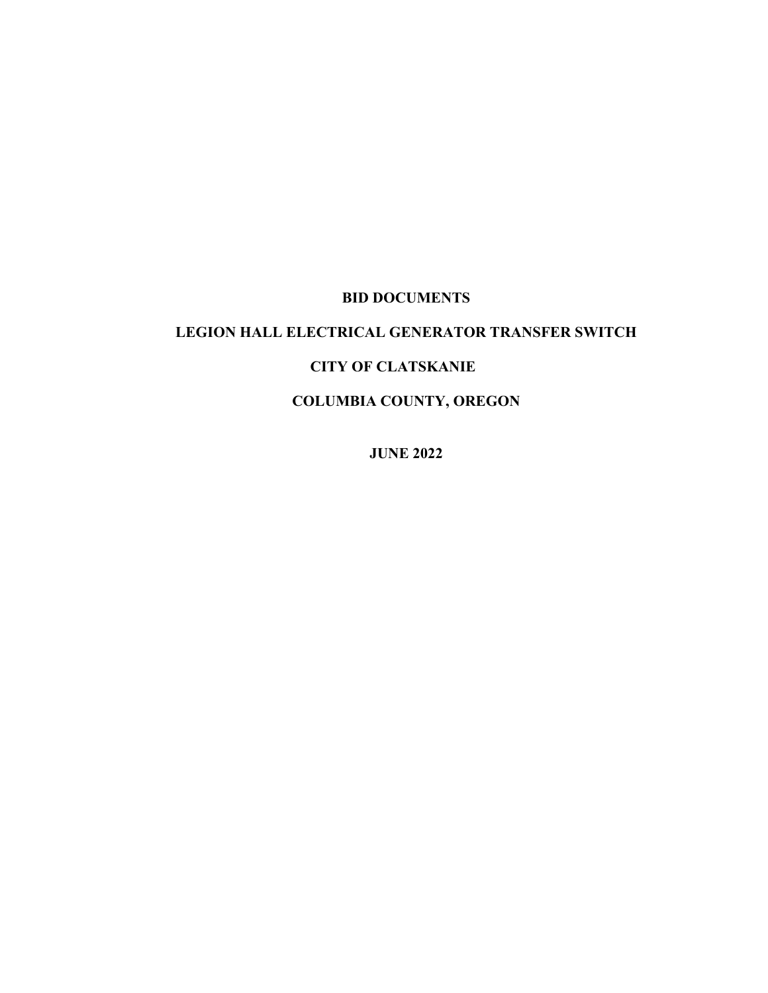#### **BID DOCUMENTS**

## **LEGION HALL ELECTRICAL GENERATOR TRANSFER SWITCH**

## **CITY OF CLATSKANIE**

# **COLUMBIA COUNTY, OREGON**

**JUNE 2022**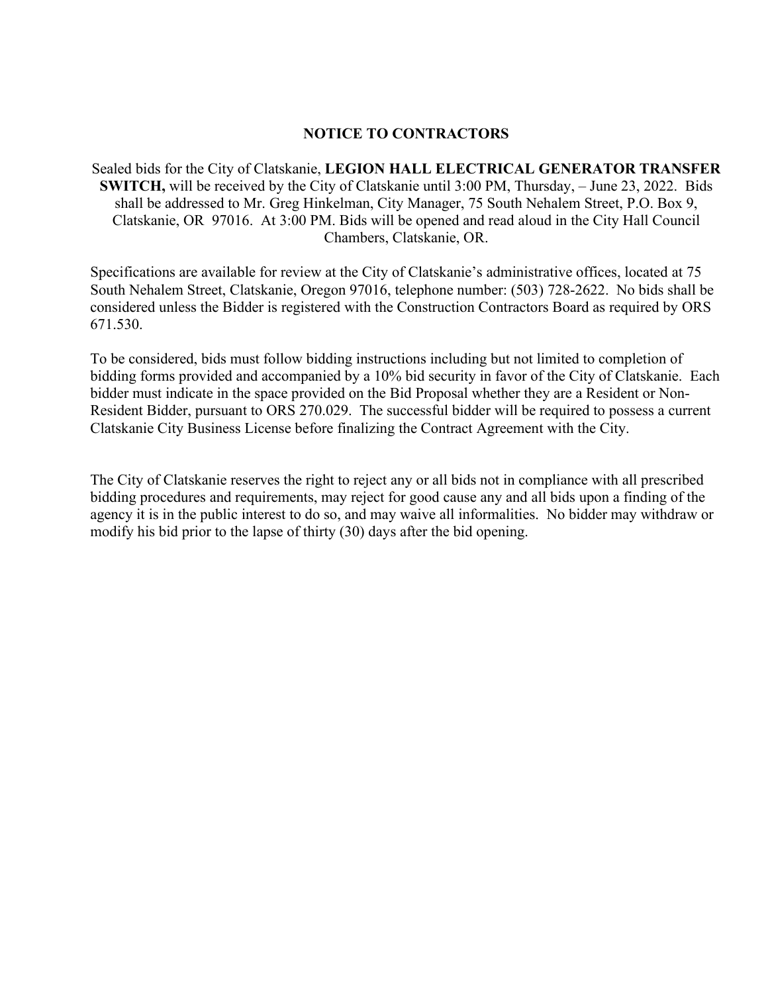### **NOTICE TO CONTRACTORS**

Sealed bids for the City of Clatskanie, **LEGION HALL ELECTRICAL GENERATOR TRANSFER SWITCH,** will be received by the City of Clatskanie until 3:00 PM, Thursday, – June 23, 2022. Bids shall be addressed to Mr. Greg Hinkelman, City Manager, 75 South Nehalem Street, P.O. Box 9, Clatskanie, OR 97016. At 3:00 PM. Bids will be opened and read aloud in the City Hall Council Chambers, Clatskanie, OR.

Specifications are available for review at the City of Clatskanie's administrative offices, located at 75 South Nehalem Street, Clatskanie, Oregon 97016, telephone number: (503) 728-2622. No bids shall be considered unless the Bidder is registered with the Construction Contractors Board as required by ORS 671.530.

To be considered, bids must follow bidding instructions including but not limited to completion of bidding forms provided and accompanied by a 10% bid security in favor of the City of Clatskanie. Each bidder must indicate in the space provided on the Bid Proposal whether they are a Resident or Non-Resident Bidder, pursuant to ORS 270.029. The successful bidder will be required to possess a current Clatskanie City Business License before finalizing the Contract Agreement with the City.

The City of Clatskanie reserves the right to reject any or all bids not in compliance with all prescribed bidding procedures and requirements, may reject for good cause any and all bids upon a finding of the agency it is in the public interest to do so, and may waive all informalities. No bidder may withdraw or modify his bid prior to the lapse of thirty (30) days after the bid opening.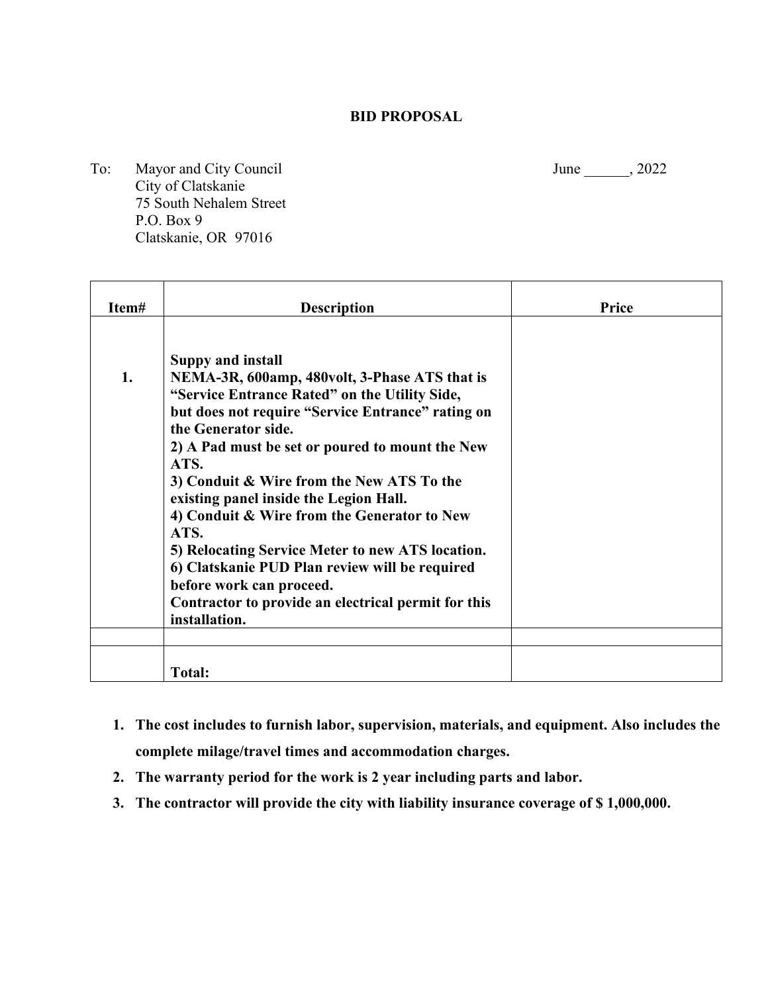#### **BID PROPOSAL**

To: Mayor and City Council June 1, 2022 City of Clatskanie 75 South Nehalem Street P.O. Box 9 Clatskanie, OR 97016

**Item# Description Price 1. Suppy and install NEMA-3R, 600amp, 480volt, 3-Phase ATS that is "Service Entrance Rated" on the Utility Side, but does not require "Service Entrance" rating on the Generator side. 2) A Pad must be set or poured to mount the New ATS. 3) Conduit & Wire from the New ATS To the existing panel inside the Legion Hall. 4) Conduit & Wire from the Generator to New ATS. 5) Relocating Service Meter to new ATS location. 6) Clatskanie PUD Plan review will be required before work can proceed. Contractor to provide an electrical permit for this installation. Total:**

- **1. The cost includes to furnish labor, supervision, materials, and equipment. Also includes the complete milage/travel times and accommodation charges.**
- **2. The warranty period for the work is 2 year including parts and labor.**
- **3. The contractor will provide the city with liability insurance coverage of \$ 1,000,000.**